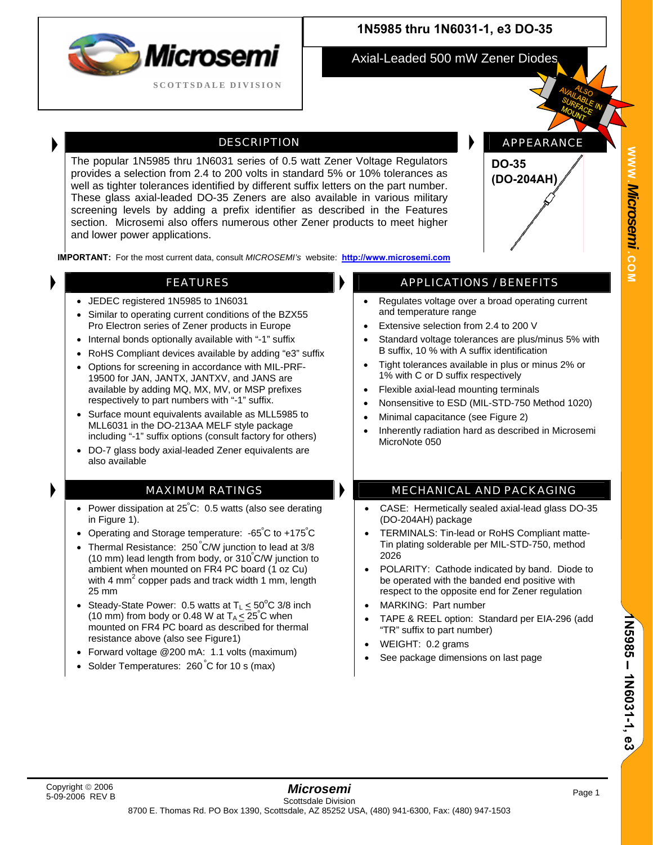

### **1N5985 thru 1N6031-1, e3 DO-35**

Axial-Leaded 500 mW Zener Diodes

#### DESCRIPTION **APPEARANCE**

The popular 1N5985 thru 1N6031 series of 0.5 watt Zener Voltage Regulators provides a selection from 2.4 to 200 volts in standard 5% or 10% tolerances as well as tighter tolerances identified by different suffix letters on the part number. These glass axial-leaded DO-35 Zeners are also available in various military screening levels by adding a prefix identifier as described in the Features section. Microsemi also offers numerous other Zener products to meet higher and lower power applications.

**IMPORTANT:** For the most current data, consult *MICROSEMI's* website: **[http://www.microsemi.com](http://www.microsemi.com/)**

- JEDEC registered 1N5985 to 1N6031
- Similar to operating current conditions of the BZX55 Pro Electron series of Zener products in Europe
- Internal bonds optionally available with "-1" suffix
- RoHS Compliant devices available by adding "e3" suffix
- Options for screening in accordance with MIL-PRF-19500 for JAN, JANTX, JANTXV, and JANS are available by adding MQ, MX, MV, or MSP prefixes respectively to part numbers with "-1" suffix.
- Surface mount equivalents available as MLL5985 to MLL6031 in the DO-213AA MELF style package including "-1" suffix options (consult factory for others)
- DO-7 glass body axial-leaded Zener equivalents are also available

- Power dissipation at 25 $^{\circ}$ C: 0.5 watts (also see derating in Figure 1).
- Operating and Storage temperature: -65°C to +175°C
- Thermal Resistance: 250°C/W junction to lead at 3/8 (10 mm) lead length from body, or 310º C/W junction to ambient when mounted on FR4 PC board (1 oz Cu) with 4 mm<sup>2</sup> copper pads and track width 1 mm, length 25 mm
- Steady-State Power: 0.5 watts at  $T_L \leq 50^{\circ}$ C 3/8 inch (10 mm) from body or 0.48 W at  $T_A \leq 25^\circ C$  when mounted on FR4 PC board as described for thermal resistance above (also see Figure1)
- Forward voltage @200 mA: 1.1 volts (maximum)
- Solder Temperatures: 260°C for 10 s (max)

### FEATURES **APPLICATIONS** / BENEFITS

**DO-35** 

**(DO-204AH)** 

- Regulates voltage over a broad operating current and temperature range
- Extensive selection from 2.4 to 200 V
- Standard voltage tolerances are plus/minus 5% with B suffix, 10 % with A suffix identification
- Tight tolerances available in plus or minus 2% or 1% with C or D suffix respectively
- Flexible axial-lead mounting terminals
- Nonsensitive to ESD (MIL-STD-750 Method 1020)
- Minimal capacitance (see Figure 2)
- Inherently radiation hard as described in Microsemi MicroNote 050

#### MAXIMUM RATINGS **MECHANICAL AND PACKAGING**

- CASE: Hermetically sealed axial-lead glass DO-35 (DO-204AH) package
- TERMINALS: Tin-lead or RoHS Compliant matte-Tin plating solderable per MIL-STD-750, method 2026
- POLARITY: Cathode indicated by band. Diode to be operated with the banded end positive with respect to the opposite end for Zener regulation
- MARKING: Part number
- TAPE & REEL option: Standard per EIA-296 (add "TR" suffix to part number)
- WEIGHT: 0.2 grams
- See package dimensions on last page

 **1N5985** 

 **1N6031-1, e3**

**Z5985 - 1Z6031-1, e3**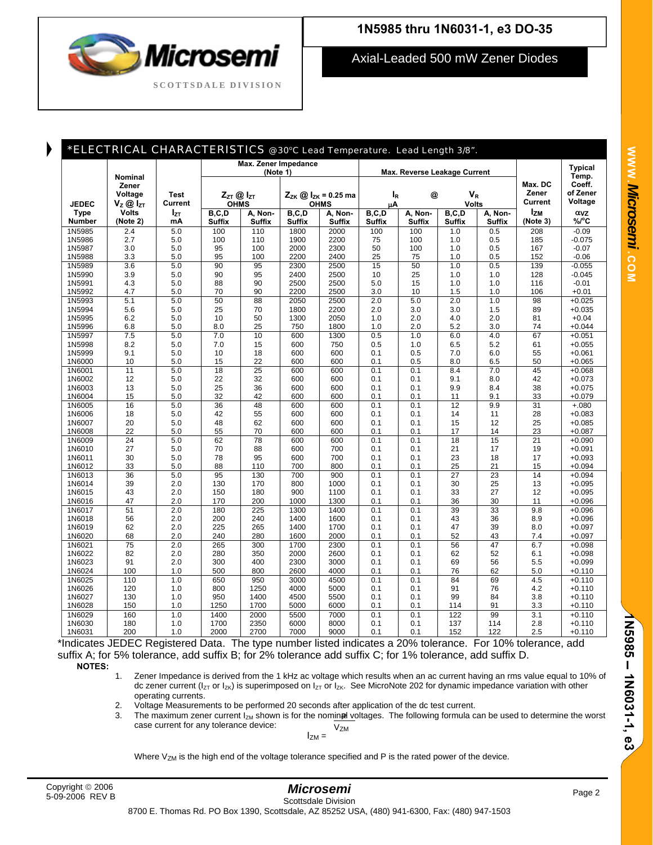

Axial-Leaded 500 mW Zener Diodes

| <b>Typical</b><br>(Note 1)<br>Max. Reverse Leakage Current<br>Temp.<br><b>Nominal</b><br>Coeff.<br>Max. DC<br>Zener<br>of Zener<br>Zener<br>Voltage<br>$V_{R}$<br><b>Test</b><br>$Z_{ZT}$ @ $I_{ZT}$<br>$Z_{ZK}$ @ $I_{ZK}$ = 0.25 ma<br>l <sub>R</sub><br>@<br><b>Current</b><br>Voltage<br><b>Current</b><br><b>JEDEC</b><br><b>OHMS</b><br><b>Volts</b><br><b>OHMS</b><br>$\mathsf{V}_{\mathsf{Z}}\left(\!\boldsymbol{\widehat{\omega}}\right.\mathsf{I}_{\mathsf{ZT}}$<br>μA<br><b>Izm</b><br><b>Volts</b><br>B, C, D<br>B, C, D<br><b>Type</b><br>I <sub>zτ</sub><br>B, C, D<br>A, Non-<br>B, C, D<br>A, Non-<br>A, Non-<br>ανz<br>A, Non-<br>$\%$ <sup>o</sup> C<br>Number<br>(Note 2)<br><b>Suffix</b><br><b>Suffix</b><br><b>Suffix</b><br><b>Suffix</b><br><b>Suffix</b><br><b>Suffix</b><br>(Note 3)<br>mA<br><b>Suffix</b><br><b>Suffix</b><br>$-0.09$<br>5.0<br>110<br>100<br>1N5985<br>2.4<br>100<br>1800<br>2000<br>100<br>1.0<br>0.5<br>208<br>$-0.075$<br>1N5986<br>2.7<br>5.0<br>100<br>110<br>1900<br>2200<br>75<br>100<br>1.0<br>0.5<br>185<br>2000<br>2300<br>50<br>$-0.07$<br>1N5987<br>3.0<br>5.0<br>95<br>100<br>100<br>1.0<br>0.5<br>167<br>100<br>152<br>$-0.06$<br>3.3<br>5.0<br>95<br>2200<br>2400<br>25<br>75<br>1.0<br>0.5<br>1N5988<br>15<br>50<br>1.0<br>1N5989<br>3.6<br>5.0<br>90<br>95<br>2300<br>2500<br>0.5<br>139<br>$-0.055$<br>$-0.045$<br>3.9<br>5.0<br>90<br>2400<br>2500<br>10<br>25<br>1.0<br>1.0<br>128<br>1N5990<br>95<br>5.0<br>$-0.01$<br>4.3<br>5.0<br>88<br>90<br>2500<br>2500<br>15<br>1.0<br>1.0<br>116<br>1N5991<br>1N5992<br>4.7<br>5.0<br>70<br>90<br>2200<br>2500<br>3.0<br>10<br>1.5<br>1.0<br>106<br>$+0.01$<br>50<br>2500<br>$\overline{2.0}$<br>$\overline{2.0}$<br>1.0<br>98<br>$+0.025$<br>5.1<br>5.0<br>88<br>2050<br>5.0<br>1N5993<br>5.0<br>25<br>89<br>$+0.035$<br>1N5994<br>5.6<br>70<br>1800<br>2200<br>2.0<br>3.0<br>3.0<br>1.5<br>1N5995<br>6.2<br>5.0<br>10<br>50<br>2050<br>1.0<br>2.0<br>4.0<br>2.0<br>81<br>$+0.04$<br>1300<br>$+0.044$<br>1N5996<br>6.8<br>5.0<br>8.0<br>25<br>750<br>1800<br>1.0<br>2.0<br>5.2<br>3.0<br>74<br>7.5<br>5.0<br>7.0<br>0.5<br>4.0<br>10<br>600<br>1300<br>1.0<br>6.0<br>67<br>$+0.051$<br>1N5997<br>1N5998<br>8.2<br>5.0<br>7.0<br>15<br>600<br>750<br>0.5<br>6.5<br>5.2<br>61<br>$+0.055$<br>1.0<br>5.0<br>18<br>600<br>600<br>0.1<br>6.0<br>55<br>$+0.061$<br>1N5999<br>9.1<br>10<br>0.5<br>7.0<br>15<br>22<br>600<br>600<br>6.5<br>$+0.065$<br>1N6000<br>10<br>5.0<br>0.1<br>0.5<br>8.0<br>50<br>11<br>18<br>25<br>45<br>5.0<br>600<br>600<br>0.1<br>0.1<br>8.4<br>7.0<br>$+0.068$<br>1N6001<br>12<br>22<br>32<br>42<br>$+0.073$<br>5.0<br>600<br>600<br>0.1<br>0.1<br>9.1<br>8.0<br>1N6002<br>25<br>$+0.075$<br>13<br>5.0<br>36<br>600<br>600<br>0.1<br>9.9<br>8.4<br>1N6003<br>0.1<br>38<br>15<br>32<br>42<br>33<br>$+0.079$<br>1N6004<br>5.0<br>600<br>600<br>0.1<br>0.1<br>11<br>9.1<br>5.0<br>36<br>48<br>12<br>9.9<br>31<br>16<br>600<br>600<br>0.1<br>0.1<br>$+.080$<br>1N6005<br>$+0.083$<br>18<br>5.0<br>42<br>600<br>600<br>0.1<br>1N6006<br>55<br>0.1<br>14<br>11<br>28<br>25<br>20<br>5.0<br>48<br>62<br>600<br>600<br>0.1<br>0.1<br>15<br>12<br>$+0.085$<br>1N6007<br>22<br>55<br>70<br>600<br>23<br>$+0.087$<br>1N6008<br>5.0<br>600<br>0.1<br>0.1<br>17<br>14<br>15<br>$\overline{24}$<br>5.0<br>62<br>78<br>600<br>18<br>$\overline{21}$<br>600<br>0.1<br>0.1<br>$+0.090$<br>1N6009<br>27<br>700<br>19<br>$+0.091$<br>1N6010<br>5.0<br>70<br>88<br>600<br>0.1<br>0.1<br>21<br>17<br>23<br>17<br>30<br>5.0<br>78<br>95<br>600<br>700<br>0.1<br>0.1<br>18<br>$+0.093$<br>1N6011<br>33<br>5.0<br>88<br>110<br>700<br>800<br>0.1<br>25<br>21<br>15<br>$+0.094$<br>1N6012<br>0.1<br>23<br>14<br>36<br>5.0<br>95<br>130<br>700<br>900<br>$\overline{27}$<br>$+0.094$<br>1N6013<br>0.1<br>0.1<br>39<br>130<br>800<br>1000<br>30<br>25<br>13<br>$+0.095$<br>1N6014<br>2.0<br>170<br>0.1<br>0.1<br>43<br>180<br>900<br>1100<br>0.1<br>0.1<br>33<br>27<br>12<br>$+0.095$<br>1N6015<br>2.0<br>150<br>47<br>36<br>30<br>2.0<br>170<br>200<br>1300<br>0.1<br>0.1<br>11<br>$+0.096$<br>1N6016<br>1000<br>51<br>2.0<br>180<br>225<br>1400<br>39<br>33<br>9.8<br>$+0.096$<br>1N6017<br>1300<br>0.1<br>0.1<br>1N6018<br>56<br>2.0<br>200<br>240<br>1400<br>1600<br>0.1<br>43<br>36<br>8.9<br>$+0.096$<br>0.1<br>62<br>39<br>8.0<br>2.0<br>225<br>265<br>1400<br>1700<br>0.1<br>0.1<br>47<br>$+0.097$<br>1N6019<br>240<br>52<br>68<br>2.0<br>280<br>2000<br>43<br>7.4<br>$+0.097$<br>1N6020<br>1600<br>0.1<br>0.1<br>$\overline{75}$<br>1N6021<br>2.0<br>265<br>300<br>1700<br>2300<br>0.1<br>0.1<br>56<br>47<br>6.7<br>$+0.098$<br>82<br>2.0<br>280<br>350<br>2000<br>2600<br>0.1<br>0.1<br>62<br>52<br>6.1<br>$+0.098$<br>1N6022<br>300<br>400<br>69<br>56<br>5.5<br>$+0.099$<br>1N6023<br>91<br>2.0<br>2300<br>3000<br>0.1<br>0.1<br>100<br>500<br>800<br>2600<br>4000<br>76<br>62<br>1N6024<br>1.0<br>0.1<br>0.1<br>5.0<br>$+0.110$<br>950<br>84<br>69<br>4.5<br>110<br>1.0<br>650<br>3000<br>4500<br>0.1<br>0.1<br>$+0.110$<br>1N6025<br>1N6026<br>120<br>1.0<br>800<br>1250<br>4000<br>5000<br>0.1<br>0.1<br>91<br>76<br>4.2<br>$+0.110$<br>1400<br>4500<br>5500<br>$+0.110$<br>1N6027<br>130<br>1.0<br>950<br>0.1<br>0.1<br>99<br>84<br>3.8<br>91<br>150<br>1.0<br>1700<br>6000<br>0.1<br>0.1<br>114<br>3.3<br>$+0.110$<br>1N6028<br>1250<br>5000<br>1.0<br>122<br>99<br>160<br>2000<br>0.1<br>3.1<br>$+0.110$<br>1N6029<br>1400<br>5500<br>7000<br>0.1<br>2350<br>1N6030<br>180<br>1.0<br>1700<br>6000<br>8000<br>0.1<br>0.1<br>137<br>114<br>2.8<br>$+0.110$ |        | *ELECTRICAL CHARACTERISTICS @ 30°C Lead Temperature. Lead Length 3/8". |     |                      |      |      |      |     |     |     |     |     |          |
|--------------------------------------------------------------------------------------------------------------------------------------------------------------------------------------------------------------------------------------------------------------------------------------------------------------------------------------------------------------------------------------------------------------------------------------------------------------------------------------------------------------------------------------------------------------------------------------------------------------------------------------------------------------------------------------------------------------------------------------------------------------------------------------------------------------------------------------------------------------------------------------------------------------------------------------------------------------------------------------------------------------------------------------------------------------------------------------------------------------------------------------------------------------------------------------------------------------------------------------------------------------------------------------------------------------------------------------------------------------------------------------------------------------------------------------------------------------------------------------------------------------------------------------------------------------------------------------------------------------------------------------------------------------------------------------------------------------------------------------------------------------------------------------------------------------------------------------------------------------------------------------------------------------------------------------------------------------------------------------------------------------------------------------------------------------------------------------------------------------------------------------------------------------------------------------------------------------------------------------------------------------------------------------------------------------------------------------------------------------------------------------------------------------------------------------------------------------------------------------------------------------------------------------------------------------------------------------------------------------------------------------------------------------------------------------------------------------------------------------------------------------------------------------------------------------------------------------------------------------------------------------------------------------------------------------------------------------------------------------------------------------------------------------------------------------------------------------------------------------------------------------------------------------------------------------------------------------------------------------------------------------------------------------------------------------------------------------------------------------------------------------------------------------------------------------------------------------------------------------------------------------------------------------------------------------------------------------------------------------------------------------------------------------------------------------------------------------------------------------------------------------------------------------------------------------------------------------------------------------------------------------------------------------------------------------------------------------------------------------------------------------------------------------------------------------------------------------------------------------------------------------------------------------------------------------------------------------------------------------------------------------------------------------------------------------------------------------------------------------------------------------------------------------------------------------------------------------------------------------------------------------------------------------------------------------------------------------------------------------------------------------------------------------------------------------------------------------------------------------------------------------------------------------------------------------------------------------------------------------------------------------------------------------------------------------------------------------------------------------------------------------------------------------------------------------------------------------------------------------------------------------------------------------------------------------------------------------------------------------------------------------------------------------------------------------------------------------------------------------------------------------------------------------------------------------------------------------------------------------------------------------------------------------------------------------------------------|--------|------------------------------------------------------------------------|-----|----------------------|------|------|------|-----|-----|-----|-----|-----|----------|
|                                                                                                                                                                                                                                                                                                                                                                                                                                                                                                                                                                                                                                                                                                                                                                                                                                                                                                                                                                                                                                                                                                                                                                                                                                                                                                                                                                                                                                                                                                                                                                                                                                                                                                                                                                                                                                                                                                                                                                                                                                                                                                                                                                                                                                                                                                                                                                                                                                                                                                                                                                                                                                                                                                                                                                                                                                                                                                                                                                                                                                                                                                                                                                                                                                                                                                                                                                                                                                                                                                                                                                                                                                                                                                                                                                                                                                                                                                                                                                                                                                                                                                                                                                                                                                                                                                                                                                                                                                                                                                                                                                                                                                                                                                                                                                                                                                                                                                                                                                                                                                                                                                                                                                                                                                                                                                                                                                                                                                                                                                                                                                                |        |                                                                        |     | Max. Zener Impedance |      |      |      |     |     |     |     |     |          |
|                                                                                                                                                                                                                                                                                                                                                                                                                                                                                                                                                                                                                                                                                                                                                                                                                                                                                                                                                                                                                                                                                                                                                                                                                                                                                                                                                                                                                                                                                                                                                                                                                                                                                                                                                                                                                                                                                                                                                                                                                                                                                                                                                                                                                                                                                                                                                                                                                                                                                                                                                                                                                                                                                                                                                                                                                                                                                                                                                                                                                                                                                                                                                                                                                                                                                                                                                                                                                                                                                                                                                                                                                                                                                                                                                                                                                                                                                                                                                                                                                                                                                                                                                                                                                                                                                                                                                                                                                                                                                                                                                                                                                                                                                                                                                                                                                                                                                                                                                                                                                                                                                                                                                                                                                                                                                                                                                                                                                                                                                                                                                                                |        |                                                                        |     |                      |      |      |      |     |     |     |     |     |          |
|                                                                                                                                                                                                                                                                                                                                                                                                                                                                                                                                                                                                                                                                                                                                                                                                                                                                                                                                                                                                                                                                                                                                                                                                                                                                                                                                                                                                                                                                                                                                                                                                                                                                                                                                                                                                                                                                                                                                                                                                                                                                                                                                                                                                                                                                                                                                                                                                                                                                                                                                                                                                                                                                                                                                                                                                                                                                                                                                                                                                                                                                                                                                                                                                                                                                                                                                                                                                                                                                                                                                                                                                                                                                                                                                                                                                                                                                                                                                                                                                                                                                                                                                                                                                                                                                                                                                                                                                                                                                                                                                                                                                                                                                                                                                                                                                                                                                                                                                                                                                                                                                                                                                                                                                                                                                                                                                                                                                                                                                                                                                                                                |        |                                                                        |     |                      |      |      |      |     |     |     |     |     |          |
|                                                                                                                                                                                                                                                                                                                                                                                                                                                                                                                                                                                                                                                                                                                                                                                                                                                                                                                                                                                                                                                                                                                                                                                                                                                                                                                                                                                                                                                                                                                                                                                                                                                                                                                                                                                                                                                                                                                                                                                                                                                                                                                                                                                                                                                                                                                                                                                                                                                                                                                                                                                                                                                                                                                                                                                                                                                                                                                                                                                                                                                                                                                                                                                                                                                                                                                                                                                                                                                                                                                                                                                                                                                                                                                                                                                                                                                                                                                                                                                                                                                                                                                                                                                                                                                                                                                                                                                                                                                                                                                                                                                                                                                                                                                                                                                                                                                                                                                                                                                                                                                                                                                                                                                                                                                                                                                                                                                                                                                                                                                                                                                |        |                                                                        |     |                      |      |      |      |     |     |     |     |     |          |
|                                                                                                                                                                                                                                                                                                                                                                                                                                                                                                                                                                                                                                                                                                                                                                                                                                                                                                                                                                                                                                                                                                                                                                                                                                                                                                                                                                                                                                                                                                                                                                                                                                                                                                                                                                                                                                                                                                                                                                                                                                                                                                                                                                                                                                                                                                                                                                                                                                                                                                                                                                                                                                                                                                                                                                                                                                                                                                                                                                                                                                                                                                                                                                                                                                                                                                                                                                                                                                                                                                                                                                                                                                                                                                                                                                                                                                                                                                                                                                                                                                                                                                                                                                                                                                                                                                                                                                                                                                                                                                                                                                                                                                                                                                                                                                                                                                                                                                                                                                                                                                                                                                                                                                                                                                                                                                                                                                                                                                                                                                                                                                                |        |                                                                        |     |                      |      |      |      |     |     |     |     |     |          |
|                                                                                                                                                                                                                                                                                                                                                                                                                                                                                                                                                                                                                                                                                                                                                                                                                                                                                                                                                                                                                                                                                                                                                                                                                                                                                                                                                                                                                                                                                                                                                                                                                                                                                                                                                                                                                                                                                                                                                                                                                                                                                                                                                                                                                                                                                                                                                                                                                                                                                                                                                                                                                                                                                                                                                                                                                                                                                                                                                                                                                                                                                                                                                                                                                                                                                                                                                                                                                                                                                                                                                                                                                                                                                                                                                                                                                                                                                                                                                                                                                                                                                                                                                                                                                                                                                                                                                                                                                                                                                                                                                                                                                                                                                                                                                                                                                                                                                                                                                                                                                                                                                                                                                                                                                                                                                                                                                                                                                                                                                                                                                                                |        |                                                                        |     |                      |      |      |      |     |     |     |     |     |          |
|                                                                                                                                                                                                                                                                                                                                                                                                                                                                                                                                                                                                                                                                                                                                                                                                                                                                                                                                                                                                                                                                                                                                                                                                                                                                                                                                                                                                                                                                                                                                                                                                                                                                                                                                                                                                                                                                                                                                                                                                                                                                                                                                                                                                                                                                                                                                                                                                                                                                                                                                                                                                                                                                                                                                                                                                                                                                                                                                                                                                                                                                                                                                                                                                                                                                                                                                                                                                                                                                                                                                                                                                                                                                                                                                                                                                                                                                                                                                                                                                                                                                                                                                                                                                                                                                                                                                                                                                                                                                                                                                                                                                                                                                                                                                                                                                                                                                                                                                                                                                                                                                                                                                                                                                                                                                                                                                                                                                                                                                                                                                                                                |        |                                                                        |     |                      |      |      |      |     |     |     |     |     |          |
|                                                                                                                                                                                                                                                                                                                                                                                                                                                                                                                                                                                                                                                                                                                                                                                                                                                                                                                                                                                                                                                                                                                                                                                                                                                                                                                                                                                                                                                                                                                                                                                                                                                                                                                                                                                                                                                                                                                                                                                                                                                                                                                                                                                                                                                                                                                                                                                                                                                                                                                                                                                                                                                                                                                                                                                                                                                                                                                                                                                                                                                                                                                                                                                                                                                                                                                                                                                                                                                                                                                                                                                                                                                                                                                                                                                                                                                                                                                                                                                                                                                                                                                                                                                                                                                                                                                                                                                                                                                                                                                                                                                                                                                                                                                                                                                                                                                                                                                                                                                                                                                                                                                                                                                                                                                                                                                                                                                                                                                                                                                                                                                |        |                                                                        |     |                      |      |      |      |     |     |     |     |     |          |
|                                                                                                                                                                                                                                                                                                                                                                                                                                                                                                                                                                                                                                                                                                                                                                                                                                                                                                                                                                                                                                                                                                                                                                                                                                                                                                                                                                                                                                                                                                                                                                                                                                                                                                                                                                                                                                                                                                                                                                                                                                                                                                                                                                                                                                                                                                                                                                                                                                                                                                                                                                                                                                                                                                                                                                                                                                                                                                                                                                                                                                                                                                                                                                                                                                                                                                                                                                                                                                                                                                                                                                                                                                                                                                                                                                                                                                                                                                                                                                                                                                                                                                                                                                                                                                                                                                                                                                                                                                                                                                                                                                                                                                                                                                                                                                                                                                                                                                                                                                                                                                                                                                                                                                                                                                                                                                                                                                                                                                                                                                                                                                                |        |                                                                        |     |                      |      |      |      |     |     |     |     |     |          |
|                                                                                                                                                                                                                                                                                                                                                                                                                                                                                                                                                                                                                                                                                                                                                                                                                                                                                                                                                                                                                                                                                                                                                                                                                                                                                                                                                                                                                                                                                                                                                                                                                                                                                                                                                                                                                                                                                                                                                                                                                                                                                                                                                                                                                                                                                                                                                                                                                                                                                                                                                                                                                                                                                                                                                                                                                                                                                                                                                                                                                                                                                                                                                                                                                                                                                                                                                                                                                                                                                                                                                                                                                                                                                                                                                                                                                                                                                                                                                                                                                                                                                                                                                                                                                                                                                                                                                                                                                                                                                                                                                                                                                                                                                                                                                                                                                                                                                                                                                                                                                                                                                                                                                                                                                                                                                                                                                                                                                                                                                                                                                                                |        |                                                                        |     |                      |      |      |      |     |     |     |     |     |          |
|                                                                                                                                                                                                                                                                                                                                                                                                                                                                                                                                                                                                                                                                                                                                                                                                                                                                                                                                                                                                                                                                                                                                                                                                                                                                                                                                                                                                                                                                                                                                                                                                                                                                                                                                                                                                                                                                                                                                                                                                                                                                                                                                                                                                                                                                                                                                                                                                                                                                                                                                                                                                                                                                                                                                                                                                                                                                                                                                                                                                                                                                                                                                                                                                                                                                                                                                                                                                                                                                                                                                                                                                                                                                                                                                                                                                                                                                                                                                                                                                                                                                                                                                                                                                                                                                                                                                                                                                                                                                                                                                                                                                                                                                                                                                                                                                                                                                                                                                                                                                                                                                                                                                                                                                                                                                                                                                                                                                                                                                                                                                                                                |        |                                                                        |     |                      |      |      |      |     |     |     |     |     |          |
|                                                                                                                                                                                                                                                                                                                                                                                                                                                                                                                                                                                                                                                                                                                                                                                                                                                                                                                                                                                                                                                                                                                                                                                                                                                                                                                                                                                                                                                                                                                                                                                                                                                                                                                                                                                                                                                                                                                                                                                                                                                                                                                                                                                                                                                                                                                                                                                                                                                                                                                                                                                                                                                                                                                                                                                                                                                                                                                                                                                                                                                                                                                                                                                                                                                                                                                                                                                                                                                                                                                                                                                                                                                                                                                                                                                                                                                                                                                                                                                                                                                                                                                                                                                                                                                                                                                                                                                                                                                                                                                                                                                                                                                                                                                                                                                                                                                                                                                                                                                                                                                                                                                                                                                                                                                                                                                                                                                                                                                                                                                                                                                |        |                                                                        |     |                      |      |      |      |     |     |     |     |     |          |
|                                                                                                                                                                                                                                                                                                                                                                                                                                                                                                                                                                                                                                                                                                                                                                                                                                                                                                                                                                                                                                                                                                                                                                                                                                                                                                                                                                                                                                                                                                                                                                                                                                                                                                                                                                                                                                                                                                                                                                                                                                                                                                                                                                                                                                                                                                                                                                                                                                                                                                                                                                                                                                                                                                                                                                                                                                                                                                                                                                                                                                                                                                                                                                                                                                                                                                                                                                                                                                                                                                                                                                                                                                                                                                                                                                                                                                                                                                                                                                                                                                                                                                                                                                                                                                                                                                                                                                                                                                                                                                                                                                                                                                                                                                                                                                                                                                                                                                                                                                                                                                                                                                                                                                                                                                                                                                                                                                                                                                                                                                                                                                                |        |                                                                        |     |                      |      |      |      |     |     |     |     |     |          |
|                                                                                                                                                                                                                                                                                                                                                                                                                                                                                                                                                                                                                                                                                                                                                                                                                                                                                                                                                                                                                                                                                                                                                                                                                                                                                                                                                                                                                                                                                                                                                                                                                                                                                                                                                                                                                                                                                                                                                                                                                                                                                                                                                                                                                                                                                                                                                                                                                                                                                                                                                                                                                                                                                                                                                                                                                                                                                                                                                                                                                                                                                                                                                                                                                                                                                                                                                                                                                                                                                                                                                                                                                                                                                                                                                                                                                                                                                                                                                                                                                                                                                                                                                                                                                                                                                                                                                                                                                                                                                                                                                                                                                                                                                                                                                                                                                                                                                                                                                                                                                                                                                                                                                                                                                                                                                                                                                                                                                                                                                                                                                                                |        |                                                                        |     |                      |      |      |      |     |     |     |     |     |          |
|                                                                                                                                                                                                                                                                                                                                                                                                                                                                                                                                                                                                                                                                                                                                                                                                                                                                                                                                                                                                                                                                                                                                                                                                                                                                                                                                                                                                                                                                                                                                                                                                                                                                                                                                                                                                                                                                                                                                                                                                                                                                                                                                                                                                                                                                                                                                                                                                                                                                                                                                                                                                                                                                                                                                                                                                                                                                                                                                                                                                                                                                                                                                                                                                                                                                                                                                                                                                                                                                                                                                                                                                                                                                                                                                                                                                                                                                                                                                                                                                                                                                                                                                                                                                                                                                                                                                                                                                                                                                                                                                                                                                                                                                                                                                                                                                                                                                                                                                                                                                                                                                                                                                                                                                                                                                                                                                                                                                                                                                                                                                                                                |        |                                                                        |     |                      |      |      |      |     |     |     |     |     |          |
|                                                                                                                                                                                                                                                                                                                                                                                                                                                                                                                                                                                                                                                                                                                                                                                                                                                                                                                                                                                                                                                                                                                                                                                                                                                                                                                                                                                                                                                                                                                                                                                                                                                                                                                                                                                                                                                                                                                                                                                                                                                                                                                                                                                                                                                                                                                                                                                                                                                                                                                                                                                                                                                                                                                                                                                                                                                                                                                                                                                                                                                                                                                                                                                                                                                                                                                                                                                                                                                                                                                                                                                                                                                                                                                                                                                                                                                                                                                                                                                                                                                                                                                                                                                                                                                                                                                                                                                                                                                                                                                                                                                                                                                                                                                                                                                                                                                                                                                                                                                                                                                                                                                                                                                                                                                                                                                                                                                                                                                                                                                                                                                |        |                                                                        |     |                      |      |      |      |     |     |     |     |     |          |
|                                                                                                                                                                                                                                                                                                                                                                                                                                                                                                                                                                                                                                                                                                                                                                                                                                                                                                                                                                                                                                                                                                                                                                                                                                                                                                                                                                                                                                                                                                                                                                                                                                                                                                                                                                                                                                                                                                                                                                                                                                                                                                                                                                                                                                                                                                                                                                                                                                                                                                                                                                                                                                                                                                                                                                                                                                                                                                                                                                                                                                                                                                                                                                                                                                                                                                                                                                                                                                                                                                                                                                                                                                                                                                                                                                                                                                                                                                                                                                                                                                                                                                                                                                                                                                                                                                                                                                                                                                                                                                                                                                                                                                                                                                                                                                                                                                                                                                                                                                                                                                                                                                                                                                                                                                                                                                                                                                                                                                                                                                                                                                                |        |                                                                        |     |                      |      |      |      |     |     |     |     |     |          |
|                                                                                                                                                                                                                                                                                                                                                                                                                                                                                                                                                                                                                                                                                                                                                                                                                                                                                                                                                                                                                                                                                                                                                                                                                                                                                                                                                                                                                                                                                                                                                                                                                                                                                                                                                                                                                                                                                                                                                                                                                                                                                                                                                                                                                                                                                                                                                                                                                                                                                                                                                                                                                                                                                                                                                                                                                                                                                                                                                                                                                                                                                                                                                                                                                                                                                                                                                                                                                                                                                                                                                                                                                                                                                                                                                                                                                                                                                                                                                                                                                                                                                                                                                                                                                                                                                                                                                                                                                                                                                                                                                                                                                                                                                                                                                                                                                                                                                                                                                                                                                                                                                                                                                                                                                                                                                                                                                                                                                                                                                                                                                                                |        |                                                                        |     |                      |      |      |      |     |     |     |     |     |          |
|                                                                                                                                                                                                                                                                                                                                                                                                                                                                                                                                                                                                                                                                                                                                                                                                                                                                                                                                                                                                                                                                                                                                                                                                                                                                                                                                                                                                                                                                                                                                                                                                                                                                                                                                                                                                                                                                                                                                                                                                                                                                                                                                                                                                                                                                                                                                                                                                                                                                                                                                                                                                                                                                                                                                                                                                                                                                                                                                                                                                                                                                                                                                                                                                                                                                                                                                                                                                                                                                                                                                                                                                                                                                                                                                                                                                                                                                                                                                                                                                                                                                                                                                                                                                                                                                                                                                                                                                                                                                                                                                                                                                                                                                                                                                                                                                                                                                                                                                                                                                                                                                                                                                                                                                                                                                                                                                                                                                                                                                                                                                                                                |        |                                                                        |     |                      |      |      |      |     |     |     |     |     |          |
|                                                                                                                                                                                                                                                                                                                                                                                                                                                                                                                                                                                                                                                                                                                                                                                                                                                                                                                                                                                                                                                                                                                                                                                                                                                                                                                                                                                                                                                                                                                                                                                                                                                                                                                                                                                                                                                                                                                                                                                                                                                                                                                                                                                                                                                                                                                                                                                                                                                                                                                                                                                                                                                                                                                                                                                                                                                                                                                                                                                                                                                                                                                                                                                                                                                                                                                                                                                                                                                                                                                                                                                                                                                                                                                                                                                                                                                                                                                                                                                                                                                                                                                                                                                                                                                                                                                                                                                                                                                                                                                                                                                                                                                                                                                                                                                                                                                                                                                                                                                                                                                                                                                                                                                                                                                                                                                                                                                                                                                                                                                                                                                |        |                                                                        |     |                      |      |      |      |     |     |     |     |     |          |
|                                                                                                                                                                                                                                                                                                                                                                                                                                                                                                                                                                                                                                                                                                                                                                                                                                                                                                                                                                                                                                                                                                                                                                                                                                                                                                                                                                                                                                                                                                                                                                                                                                                                                                                                                                                                                                                                                                                                                                                                                                                                                                                                                                                                                                                                                                                                                                                                                                                                                                                                                                                                                                                                                                                                                                                                                                                                                                                                                                                                                                                                                                                                                                                                                                                                                                                                                                                                                                                                                                                                                                                                                                                                                                                                                                                                                                                                                                                                                                                                                                                                                                                                                                                                                                                                                                                                                                                                                                                                                                                                                                                                                                                                                                                                                                                                                                                                                                                                                                                                                                                                                                                                                                                                                                                                                                                                                                                                                                                                                                                                                                                |        |                                                                        |     |                      |      |      |      |     |     |     |     |     |          |
|                                                                                                                                                                                                                                                                                                                                                                                                                                                                                                                                                                                                                                                                                                                                                                                                                                                                                                                                                                                                                                                                                                                                                                                                                                                                                                                                                                                                                                                                                                                                                                                                                                                                                                                                                                                                                                                                                                                                                                                                                                                                                                                                                                                                                                                                                                                                                                                                                                                                                                                                                                                                                                                                                                                                                                                                                                                                                                                                                                                                                                                                                                                                                                                                                                                                                                                                                                                                                                                                                                                                                                                                                                                                                                                                                                                                                                                                                                                                                                                                                                                                                                                                                                                                                                                                                                                                                                                                                                                                                                                                                                                                                                                                                                                                                                                                                                                                                                                                                                                                                                                                                                                                                                                                                                                                                                                                                                                                                                                                                                                                                                                |        |                                                                        |     |                      |      |      |      |     |     |     |     |     |          |
|                                                                                                                                                                                                                                                                                                                                                                                                                                                                                                                                                                                                                                                                                                                                                                                                                                                                                                                                                                                                                                                                                                                                                                                                                                                                                                                                                                                                                                                                                                                                                                                                                                                                                                                                                                                                                                                                                                                                                                                                                                                                                                                                                                                                                                                                                                                                                                                                                                                                                                                                                                                                                                                                                                                                                                                                                                                                                                                                                                                                                                                                                                                                                                                                                                                                                                                                                                                                                                                                                                                                                                                                                                                                                                                                                                                                                                                                                                                                                                                                                                                                                                                                                                                                                                                                                                                                                                                                                                                                                                                                                                                                                                                                                                                                                                                                                                                                                                                                                                                                                                                                                                                                                                                                                                                                                                                                                                                                                                                                                                                                                                                |        |                                                                        |     |                      |      |      |      |     |     |     |     |     |          |
|                                                                                                                                                                                                                                                                                                                                                                                                                                                                                                                                                                                                                                                                                                                                                                                                                                                                                                                                                                                                                                                                                                                                                                                                                                                                                                                                                                                                                                                                                                                                                                                                                                                                                                                                                                                                                                                                                                                                                                                                                                                                                                                                                                                                                                                                                                                                                                                                                                                                                                                                                                                                                                                                                                                                                                                                                                                                                                                                                                                                                                                                                                                                                                                                                                                                                                                                                                                                                                                                                                                                                                                                                                                                                                                                                                                                                                                                                                                                                                                                                                                                                                                                                                                                                                                                                                                                                                                                                                                                                                                                                                                                                                                                                                                                                                                                                                                                                                                                                                                                                                                                                                                                                                                                                                                                                                                                                                                                                                                                                                                                                                                |        |                                                                        |     |                      |      |      |      |     |     |     |     |     |          |
|                                                                                                                                                                                                                                                                                                                                                                                                                                                                                                                                                                                                                                                                                                                                                                                                                                                                                                                                                                                                                                                                                                                                                                                                                                                                                                                                                                                                                                                                                                                                                                                                                                                                                                                                                                                                                                                                                                                                                                                                                                                                                                                                                                                                                                                                                                                                                                                                                                                                                                                                                                                                                                                                                                                                                                                                                                                                                                                                                                                                                                                                                                                                                                                                                                                                                                                                                                                                                                                                                                                                                                                                                                                                                                                                                                                                                                                                                                                                                                                                                                                                                                                                                                                                                                                                                                                                                                                                                                                                                                                                                                                                                                                                                                                                                                                                                                                                                                                                                                                                                                                                                                                                                                                                                                                                                                                                                                                                                                                                                                                                                                                |        |                                                                        |     |                      |      |      |      |     |     |     |     |     |          |
|                                                                                                                                                                                                                                                                                                                                                                                                                                                                                                                                                                                                                                                                                                                                                                                                                                                                                                                                                                                                                                                                                                                                                                                                                                                                                                                                                                                                                                                                                                                                                                                                                                                                                                                                                                                                                                                                                                                                                                                                                                                                                                                                                                                                                                                                                                                                                                                                                                                                                                                                                                                                                                                                                                                                                                                                                                                                                                                                                                                                                                                                                                                                                                                                                                                                                                                                                                                                                                                                                                                                                                                                                                                                                                                                                                                                                                                                                                                                                                                                                                                                                                                                                                                                                                                                                                                                                                                                                                                                                                                                                                                                                                                                                                                                                                                                                                                                                                                                                                                                                                                                                                                                                                                                                                                                                                                                                                                                                                                                                                                                                                                |        |                                                                        |     |                      |      |      |      |     |     |     |     |     |          |
|                                                                                                                                                                                                                                                                                                                                                                                                                                                                                                                                                                                                                                                                                                                                                                                                                                                                                                                                                                                                                                                                                                                                                                                                                                                                                                                                                                                                                                                                                                                                                                                                                                                                                                                                                                                                                                                                                                                                                                                                                                                                                                                                                                                                                                                                                                                                                                                                                                                                                                                                                                                                                                                                                                                                                                                                                                                                                                                                                                                                                                                                                                                                                                                                                                                                                                                                                                                                                                                                                                                                                                                                                                                                                                                                                                                                                                                                                                                                                                                                                                                                                                                                                                                                                                                                                                                                                                                                                                                                                                                                                                                                                                                                                                                                                                                                                                                                                                                                                                                                                                                                                                                                                                                                                                                                                                                                                                                                                                                                                                                                                                                |        |                                                                        |     |                      |      |      |      |     |     |     |     |     |          |
|                                                                                                                                                                                                                                                                                                                                                                                                                                                                                                                                                                                                                                                                                                                                                                                                                                                                                                                                                                                                                                                                                                                                                                                                                                                                                                                                                                                                                                                                                                                                                                                                                                                                                                                                                                                                                                                                                                                                                                                                                                                                                                                                                                                                                                                                                                                                                                                                                                                                                                                                                                                                                                                                                                                                                                                                                                                                                                                                                                                                                                                                                                                                                                                                                                                                                                                                                                                                                                                                                                                                                                                                                                                                                                                                                                                                                                                                                                                                                                                                                                                                                                                                                                                                                                                                                                                                                                                                                                                                                                                                                                                                                                                                                                                                                                                                                                                                                                                                                                                                                                                                                                                                                                                                                                                                                                                                                                                                                                                                                                                                                                                |        |                                                                        |     |                      |      |      |      |     |     |     |     |     |          |
|                                                                                                                                                                                                                                                                                                                                                                                                                                                                                                                                                                                                                                                                                                                                                                                                                                                                                                                                                                                                                                                                                                                                                                                                                                                                                                                                                                                                                                                                                                                                                                                                                                                                                                                                                                                                                                                                                                                                                                                                                                                                                                                                                                                                                                                                                                                                                                                                                                                                                                                                                                                                                                                                                                                                                                                                                                                                                                                                                                                                                                                                                                                                                                                                                                                                                                                                                                                                                                                                                                                                                                                                                                                                                                                                                                                                                                                                                                                                                                                                                                                                                                                                                                                                                                                                                                                                                                                                                                                                                                                                                                                                                                                                                                                                                                                                                                                                                                                                                                                                                                                                                                                                                                                                                                                                                                                                                                                                                                                                                                                                                                                |        |                                                                        |     |                      |      |      |      |     |     |     |     |     |          |
|                                                                                                                                                                                                                                                                                                                                                                                                                                                                                                                                                                                                                                                                                                                                                                                                                                                                                                                                                                                                                                                                                                                                                                                                                                                                                                                                                                                                                                                                                                                                                                                                                                                                                                                                                                                                                                                                                                                                                                                                                                                                                                                                                                                                                                                                                                                                                                                                                                                                                                                                                                                                                                                                                                                                                                                                                                                                                                                                                                                                                                                                                                                                                                                                                                                                                                                                                                                                                                                                                                                                                                                                                                                                                                                                                                                                                                                                                                                                                                                                                                                                                                                                                                                                                                                                                                                                                                                                                                                                                                                                                                                                                                                                                                                                                                                                                                                                                                                                                                                                                                                                                                                                                                                                                                                                                                                                                                                                                                                                                                                                                                                |        |                                                                        |     |                      |      |      |      |     |     |     |     |     |          |
|                                                                                                                                                                                                                                                                                                                                                                                                                                                                                                                                                                                                                                                                                                                                                                                                                                                                                                                                                                                                                                                                                                                                                                                                                                                                                                                                                                                                                                                                                                                                                                                                                                                                                                                                                                                                                                                                                                                                                                                                                                                                                                                                                                                                                                                                                                                                                                                                                                                                                                                                                                                                                                                                                                                                                                                                                                                                                                                                                                                                                                                                                                                                                                                                                                                                                                                                                                                                                                                                                                                                                                                                                                                                                                                                                                                                                                                                                                                                                                                                                                                                                                                                                                                                                                                                                                                                                                                                                                                                                                                                                                                                                                                                                                                                                                                                                                                                                                                                                                                                                                                                                                                                                                                                                                                                                                                                                                                                                                                                                                                                                                                |        |                                                                        |     |                      |      |      |      |     |     |     |     |     |          |
|                                                                                                                                                                                                                                                                                                                                                                                                                                                                                                                                                                                                                                                                                                                                                                                                                                                                                                                                                                                                                                                                                                                                                                                                                                                                                                                                                                                                                                                                                                                                                                                                                                                                                                                                                                                                                                                                                                                                                                                                                                                                                                                                                                                                                                                                                                                                                                                                                                                                                                                                                                                                                                                                                                                                                                                                                                                                                                                                                                                                                                                                                                                                                                                                                                                                                                                                                                                                                                                                                                                                                                                                                                                                                                                                                                                                                                                                                                                                                                                                                                                                                                                                                                                                                                                                                                                                                                                                                                                                                                                                                                                                                                                                                                                                                                                                                                                                                                                                                                                                                                                                                                                                                                                                                                                                                                                                                                                                                                                                                                                                                                                |        |                                                                        |     |                      |      |      |      |     |     |     |     |     |          |
|                                                                                                                                                                                                                                                                                                                                                                                                                                                                                                                                                                                                                                                                                                                                                                                                                                                                                                                                                                                                                                                                                                                                                                                                                                                                                                                                                                                                                                                                                                                                                                                                                                                                                                                                                                                                                                                                                                                                                                                                                                                                                                                                                                                                                                                                                                                                                                                                                                                                                                                                                                                                                                                                                                                                                                                                                                                                                                                                                                                                                                                                                                                                                                                                                                                                                                                                                                                                                                                                                                                                                                                                                                                                                                                                                                                                                                                                                                                                                                                                                                                                                                                                                                                                                                                                                                                                                                                                                                                                                                                                                                                                                                                                                                                                                                                                                                                                                                                                                                                                                                                                                                                                                                                                                                                                                                                                                                                                                                                                                                                                                                                |        |                                                                        |     |                      |      |      |      |     |     |     |     |     |          |
|                                                                                                                                                                                                                                                                                                                                                                                                                                                                                                                                                                                                                                                                                                                                                                                                                                                                                                                                                                                                                                                                                                                                                                                                                                                                                                                                                                                                                                                                                                                                                                                                                                                                                                                                                                                                                                                                                                                                                                                                                                                                                                                                                                                                                                                                                                                                                                                                                                                                                                                                                                                                                                                                                                                                                                                                                                                                                                                                                                                                                                                                                                                                                                                                                                                                                                                                                                                                                                                                                                                                                                                                                                                                                                                                                                                                                                                                                                                                                                                                                                                                                                                                                                                                                                                                                                                                                                                                                                                                                                                                                                                                                                                                                                                                                                                                                                                                                                                                                                                                                                                                                                                                                                                                                                                                                                                                                                                                                                                                                                                                                                                |        |                                                                        |     |                      |      |      |      |     |     |     |     |     |          |
|                                                                                                                                                                                                                                                                                                                                                                                                                                                                                                                                                                                                                                                                                                                                                                                                                                                                                                                                                                                                                                                                                                                                                                                                                                                                                                                                                                                                                                                                                                                                                                                                                                                                                                                                                                                                                                                                                                                                                                                                                                                                                                                                                                                                                                                                                                                                                                                                                                                                                                                                                                                                                                                                                                                                                                                                                                                                                                                                                                                                                                                                                                                                                                                                                                                                                                                                                                                                                                                                                                                                                                                                                                                                                                                                                                                                                                                                                                                                                                                                                                                                                                                                                                                                                                                                                                                                                                                                                                                                                                                                                                                                                                                                                                                                                                                                                                                                                                                                                                                                                                                                                                                                                                                                                                                                                                                                                                                                                                                                                                                                                                                |        |                                                                        |     |                      |      |      |      |     |     |     |     |     |          |
|                                                                                                                                                                                                                                                                                                                                                                                                                                                                                                                                                                                                                                                                                                                                                                                                                                                                                                                                                                                                                                                                                                                                                                                                                                                                                                                                                                                                                                                                                                                                                                                                                                                                                                                                                                                                                                                                                                                                                                                                                                                                                                                                                                                                                                                                                                                                                                                                                                                                                                                                                                                                                                                                                                                                                                                                                                                                                                                                                                                                                                                                                                                                                                                                                                                                                                                                                                                                                                                                                                                                                                                                                                                                                                                                                                                                                                                                                                                                                                                                                                                                                                                                                                                                                                                                                                                                                                                                                                                                                                                                                                                                                                                                                                                                                                                                                                                                                                                                                                                                                                                                                                                                                                                                                                                                                                                                                                                                                                                                                                                                                                                |        |                                                                        |     |                      |      |      |      |     |     |     |     |     |          |
|                                                                                                                                                                                                                                                                                                                                                                                                                                                                                                                                                                                                                                                                                                                                                                                                                                                                                                                                                                                                                                                                                                                                                                                                                                                                                                                                                                                                                                                                                                                                                                                                                                                                                                                                                                                                                                                                                                                                                                                                                                                                                                                                                                                                                                                                                                                                                                                                                                                                                                                                                                                                                                                                                                                                                                                                                                                                                                                                                                                                                                                                                                                                                                                                                                                                                                                                                                                                                                                                                                                                                                                                                                                                                                                                                                                                                                                                                                                                                                                                                                                                                                                                                                                                                                                                                                                                                                                                                                                                                                                                                                                                                                                                                                                                                                                                                                                                                                                                                                                                                                                                                                                                                                                                                                                                                                                                                                                                                                                                                                                                                                                |        |                                                                        |     |                      |      |      |      |     |     |     |     |     |          |
|                                                                                                                                                                                                                                                                                                                                                                                                                                                                                                                                                                                                                                                                                                                                                                                                                                                                                                                                                                                                                                                                                                                                                                                                                                                                                                                                                                                                                                                                                                                                                                                                                                                                                                                                                                                                                                                                                                                                                                                                                                                                                                                                                                                                                                                                                                                                                                                                                                                                                                                                                                                                                                                                                                                                                                                                                                                                                                                                                                                                                                                                                                                                                                                                                                                                                                                                                                                                                                                                                                                                                                                                                                                                                                                                                                                                                                                                                                                                                                                                                                                                                                                                                                                                                                                                                                                                                                                                                                                                                                                                                                                                                                                                                                                                                                                                                                                                                                                                                                                                                                                                                                                                                                                                                                                                                                                                                                                                                                                                                                                                                                                |        |                                                                        |     |                      |      |      |      |     |     |     |     |     |          |
|                                                                                                                                                                                                                                                                                                                                                                                                                                                                                                                                                                                                                                                                                                                                                                                                                                                                                                                                                                                                                                                                                                                                                                                                                                                                                                                                                                                                                                                                                                                                                                                                                                                                                                                                                                                                                                                                                                                                                                                                                                                                                                                                                                                                                                                                                                                                                                                                                                                                                                                                                                                                                                                                                                                                                                                                                                                                                                                                                                                                                                                                                                                                                                                                                                                                                                                                                                                                                                                                                                                                                                                                                                                                                                                                                                                                                                                                                                                                                                                                                                                                                                                                                                                                                                                                                                                                                                                                                                                                                                                                                                                                                                                                                                                                                                                                                                                                                                                                                                                                                                                                                                                                                                                                                                                                                                                                                                                                                                                                                                                                                                                |        |                                                                        |     |                      |      |      |      |     |     |     |     |     |          |
|                                                                                                                                                                                                                                                                                                                                                                                                                                                                                                                                                                                                                                                                                                                                                                                                                                                                                                                                                                                                                                                                                                                                                                                                                                                                                                                                                                                                                                                                                                                                                                                                                                                                                                                                                                                                                                                                                                                                                                                                                                                                                                                                                                                                                                                                                                                                                                                                                                                                                                                                                                                                                                                                                                                                                                                                                                                                                                                                                                                                                                                                                                                                                                                                                                                                                                                                                                                                                                                                                                                                                                                                                                                                                                                                                                                                                                                                                                                                                                                                                                                                                                                                                                                                                                                                                                                                                                                                                                                                                                                                                                                                                                                                                                                                                                                                                                                                                                                                                                                                                                                                                                                                                                                                                                                                                                                                                                                                                                                                                                                                                                                |        |                                                                        |     |                      |      |      |      |     |     |     |     |     |          |
|                                                                                                                                                                                                                                                                                                                                                                                                                                                                                                                                                                                                                                                                                                                                                                                                                                                                                                                                                                                                                                                                                                                                                                                                                                                                                                                                                                                                                                                                                                                                                                                                                                                                                                                                                                                                                                                                                                                                                                                                                                                                                                                                                                                                                                                                                                                                                                                                                                                                                                                                                                                                                                                                                                                                                                                                                                                                                                                                                                                                                                                                                                                                                                                                                                                                                                                                                                                                                                                                                                                                                                                                                                                                                                                                                                                                                                                                                                                                                                                                                                                                                                                                                                                                                                                                                                                                                                                                                                                                                                                                                                                                                                                                                                                                                                                                                                                                                                                                                                                                                                                                                                                                                                                                                                                                                                                                                                                                                                                                                                                                                                                |        |                                                                        |     |                      |      |      |      |     |     |     |     |     |          |
|                                                                                                                                                                                                                                                                                                                                                                                                                                                                                                                                                                                                                                                                                                                                                                                                                                                                                                                                                                                                                                                                                                                                                                                                                                                                                                                                                                                                                                                                                                                                                                                                                                                                                                                                                                                                                                                                                                                                                                                                                                                                                                                                                                                                                                                                                                                                                                                                                                                                                                                                                                                                                                                                                                                                                                                                                                                                                                                                                                                                                                                                                                                                                                                                                                                                                                                                                                                                                                                                                                                                                                                                                                                                                                                                                                                                                                                                                                                                                                                                                                                                                                                                                                                                                                                                                                                                                                                                                                                                                                                                                                                                                                                                                                                                                                                                                                                                                                                                                                                                                                                                                                                                                                                                                                                                                                                                                                                                                                                                                                                                                                                |        |                                                                        |     |                      |      |      |      |     |     |     |     |     |          |
|                                                                                                                                                                                                                                                                                                                                                                                                                                                                                                                                                                                                                                                                                                                                                                                                                                                                                                                                                                                                                                                                                                                                                                                                                                                                                                                                                                                                                                                                                                                                                                                                                                                                                                                                                                                                                                                                                                                                                                                                                                                                                                                                                                                                                                                                                                                                                                                                                                                                                                                                                                                                                                                                                                                                                                                                                                                                                                                                                                                                                                                                                                                                                                                                                                                                                                                                                                                                                                                                                                                                                                                                                                                                                                                                                                                                                                                                                                                                                                                                                                                                                                                                                                                                                                                                                                                                                                                                                                                                                                                                                                                                                                                                                                                                                                                                                                                                                                                                                                                                                                                                                                                                                                                                                                                                                                                                                                                                                                                                                                                                                                                |        |                                                                        |     |                      |      |      |      |     |     |     |     |     |          |
|                                                                                                                                                                                                                                                                                                                                                                                                                                                                                                                                                                                                                                                                                                                                                                                                                                                                                                                                                                                                                                                                                                                                                                                                                                                                                                                                                                                                                                                                                                                                                                                                                                                                                                                                                                                                                                                                                                                                                                                                                                                                                                                                                                                                                                                                                                                                                                                                                                                                                                                                                                                                                                                                                                                                                                                                                                                                                                                                                                                                                                                                                                                                                                                                                                                                                                                                                                                                                                                                                                                                                                                                                                                                                                                                                                                                                                                                                                                                                                                                                                                                                                                                                                                                                                                                                                                                                                                                                                                                                                                                                                                                                                                                                                                                                                                                                                                                                                                                                                                                                                                                                                                                                                                                                                                                                                                                                                                                                                                                                                                                                                                |        |                                                                        |     |                      |      |      |      |     |     |     |     |     |          |
|                                                                                                                                                                                                                                                                                                                                                                                                                                                                                                                                                                                                                                                                                                                                                                                                                                                                                                                                                                                                                                                                                                                                                                                                                                                                                                                                                                                                                                                                                                                                                                                                                                                                                                                                                                                                                                                                                                                                                                                                                                                                                                                                                                                                                                                                                                                                                                                                                                                                                                                                                                                                                                                                                                                                                                                                                                                                                                                                                                                                                                                                                                                                                                                                                                                                                                                                                                                                                                                                                                                                                                                                                                                                                                                                                                                                                                                                                                                                                                                                                                                                                                                                                                                                                                                                                                                                                                                                                                                                                                                                                                                                                                                                                                                                                                                                                                                                                                                                                                                                                                                                                                                                                                                                                                                                                                                                                                                                                                                                                                                                                                                |        |                                                                        |     |                      |      |      |      |     |     |     |     |     |          |
|                                                                                                                                                                                                                                                                                                                                                                                                                                                                                                                                                                                                                                                                                                                                                                                                                                                                                                                                                                                                                                                                                                                                                                                                                                                                                                                                                                                                                                                                                                                                                                                                                                                                                                                                                                                                                                                                                                                                                                                                                                                                                                                                                                                                                                                                                                                                                                                                                                                                                                                                                                                                                                                                                                                                                                                                                                                                                                                                                                                                                                                                                                                                                                                                                                                                                                                                                                                                                                                                                                                                                                                                                                                                                                                                                                                                                                                                                                                                                                                                                                                                                                                                                                                                                                                                                                                                                                                                                                                                                                                                                                                                                                                                                                                                                                                                                                                                                                                                                                                                                                                                                                                                                                                                                                                                                                                                                                                                                                                                                                                                                                                |        |                                                                        |     |                      |      |      |      |     |     |     |     |     |          |
|                                                                                                                                                                                                                                                                                                                                                                                                                                                                                                                                                                                                                                                                                                                                                                                                                                                                                                                                                                                                                                                                                                                                                                                                                                                                                                                                                                                                                                                                                                                                                                                                                                                                                                                                                                                                                                                                                                                                                                                                                                                                                                                                                                                                                                                                                                                                                                                                                                                                                                                                                                                                                                                                                                                                                                                                                                                                                                                                                                                                                                                                                                                                                                                                                                                                                                                                                                                                                                                                                                                                                                                                                                                                                                                                                                                                                                                                                                                                                                                                                                                                                                                                                                                                                                                                                                                                                                                                                                                                                                                                                                                                                                                                                                                                                                                                                                                                                                                                                                                                                                                                                                                                                                                                                                                                                                                                                                                                                                                                                                                                                                                | 1N6031 | 200                                                                    | 1.0 | 2000                 | 2700 | 7000 | 9000 | 0.1 | 0.1 | 152 | 122 | 2.5 | $+0.110$ |

 \*Indicates JEDEC Registered Data. The type number listed indicates a 20% tolerance. For 10% tolerance, add suffix A; for 5% tolerance, add suffix B; for 2% tolerance add suffix C; for 1% tolerance, add suffix D. **NOTES:**

- 1. Zener Impedance is derived from the 1 kHz ac voltage which results when an ac current having an rms value equal to 10% of dc zener current ( $I_{ZT}$  or  $I_{ZK}$ ) is superimposed on  $I_{ZT}$  or  $I_{ZK}$ . See MicroNote 202 for dynamic impedance variation with other operating currents.
- 2. Voltage Measurements to be performed 20 seconds after application of the dc test current.
- 3. The maximum zener current I<sub>ZM</sub> shown is for the nom<u>inpl v</u>oltages. The following formula can be used to determine the worst case current for any tolerance device: V<sub>ZM</sub>

 $I_{ZM} =$ 

Where  $V_{ZM}$  is the high end of the voltage tolerance specified and P is the rated power of the device.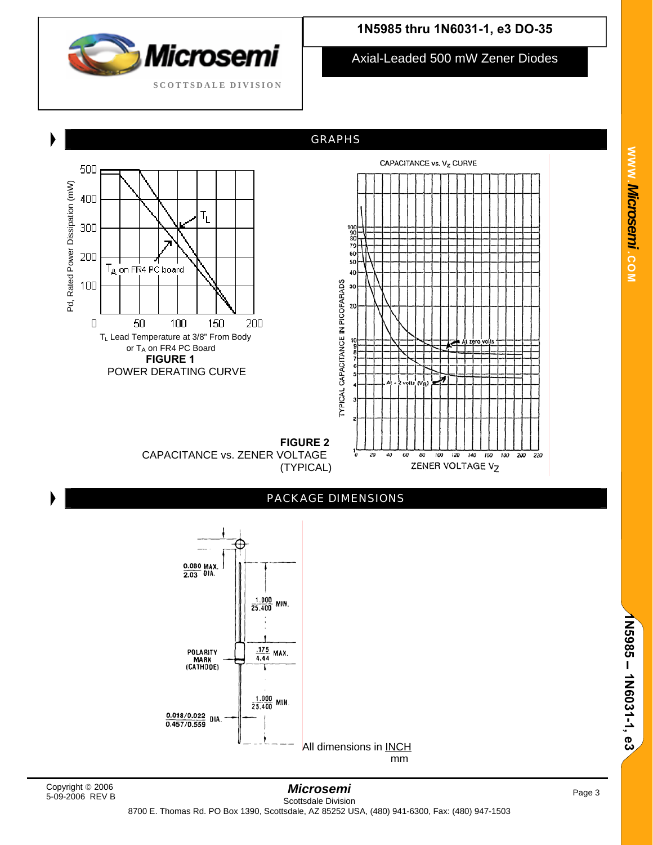

Axial-Leaded 500 mW Zener Diodes

GRAPHS





**FIGURE 2**  CAPACITANCE vs. ZENER VOLTAGE